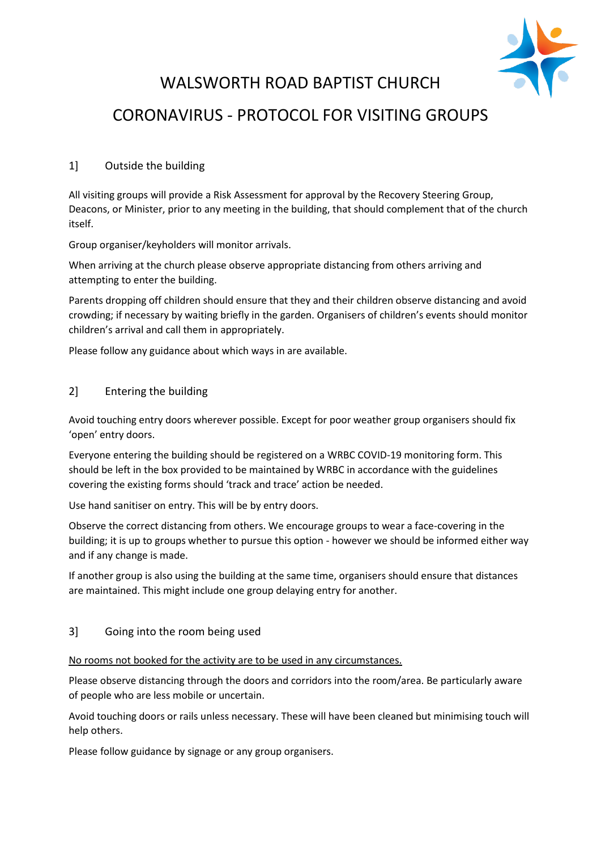

# WALSWORTH ROAD BAPTIST CHURCH CORONAVIRUS - PROTOCOL FOR VISITING GROUPS

# 1] Outside the building

All visiting groups will provide a Risk Assessment for approval by the Recovery Steering Group, Deacons, or Minister, prior to any meeting in the building, that should complement that of the church itself.

Group organiser/keyholders will monitor arrivals.

When arriving at the church please observe appropriate distancing from others arriving and attempting to enter the building.

Parents dropping off children should ensure that they and their children observe distancing and avoid crowding; if necessary by waiting briefly in the garden. Organisers of children's events should monitor children's arrival and call them in appropriately.

Please follow any guidance about which ways in are available.

## 2] Entering the building

Avoid touching entry doors wherever possible. Except for poor weather group organisers should fix 'open' entry doors.

Everyone entering the building should be registered on a WRBC COVID-19 monitoring form. This should be left in the box provided to be maintained by WRBC in accordance with the guidelines covering the existing forms should 'track and trace' action be needed.

Use hand sanitiser on entry. This will be by entry doors.

Observe the correct distancing from others. We encourage groups to wear a face-covering in the building; it is up to groups whether to pursue this option - however we should be informed either way and if any change is made.

If another group is also using the building at the same time, organisers should ensure that distances are maintained. This might include one group delaying entry for another.

## 3] Going into the room being used

#### No rooms not booked for the activity are to be used in any circumstances.

Please observe distancing through the doors and corridors into the room/area. Be particularly aware of people who are less mobile or uncertain.

Avoid touching doors or rails unless necessary. These will have been cleaned but minimising touch will help others.

Please follow guidance by signage or any group organisers.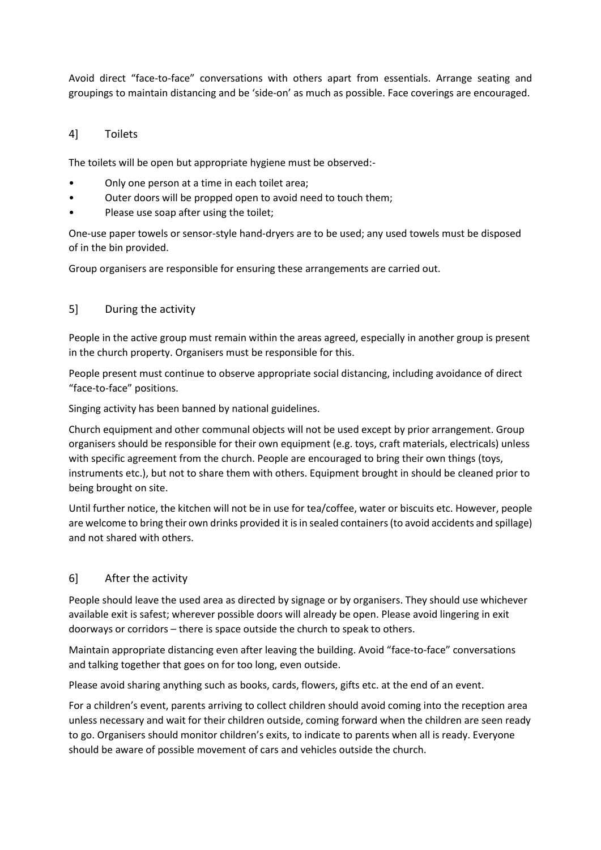Avoid direct "face-to-face" conversations with others apart from essentials. Arrange seating and groupings to maintain distancing and be 'side-on' as much as possible. Face coverings are encouraged.

#### 4] Toilets

The toilets will be open but appropriate hygiene must be observed:-

- Only one person at a time in each toilet area;
- Outer doors will be propped open to avoid need to touch them;
- Please use soap after using the toilet;

One-use paper towels or sensor-style hand-dryers are to be used; any used towels must be disposed of in the bin provided.

Group organisers are responsible for ensuring these arrangements are carried out.

#### 5] During the activity

People in the active group must remain within the areas agreed, especially in another group is present in the church property. Organisers must be responsible for this.

People present must continue to observe appropriate social distancing, including avoidance of direct "face-to-face" positions.

Singing activity has been banned by national guidelines.

Church equipment and other communal objects will not be used except by prior arrangement. Group organisers should be responsible for their own equipment (e.g. toys, craft materials, electricals) unless with specific agreement from the church. People are encouraged to bring their own things (toys, instruments etc.), but not to share them with others. Equipment brought in should be cleaned prior to being brought on site.

Until further notice, the kitchen will not be in use for tea/coffee, water or biscuits etc. However, people are welcome to bring their own drinks provided it is in sealed containers (to avoid accidents and spillage) and not shared with others.

## 6] After the activity

People should leave the used area as directed by signage or by organisers. They should use whichever available exit is safest; wherever possible doors will already be open. Please avoid lingering in exit doorways or corridors – there is space outside the church to speak to others.

Maintain appropriate distancing even after leaving the building. Avoid "face-to-face" conversations and talking together that goes on for too long, even outside.

Please avoid sharing anything such as books, cards, flowers, gifts etc. at the end of an event.

For a children's event, parents arriving to collect children should avoid coming into the reception area unless necessary and wait for their children outside, coming forward when the children are seen ready to go. Organisers should monitor children's exits, to indicate to parents when all is ready. Everyone should be aware of possible movement of cars and vehicles outside the church.